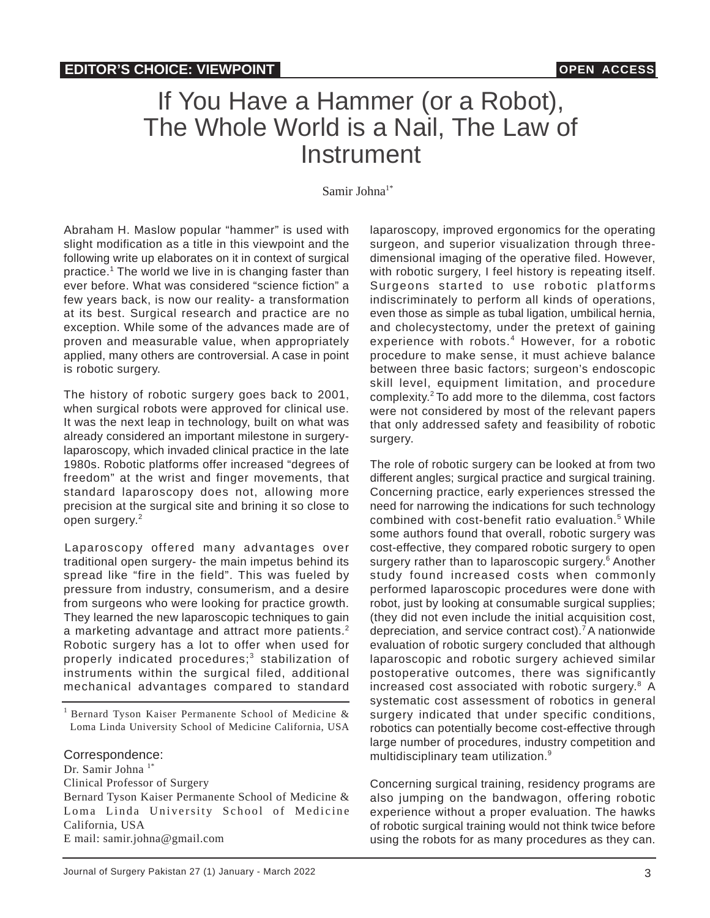## If You Have a Hammer (or a Robot), The Whole World is a Nail, The Law of Instrument

Samir Johna<sup>1\*</sup>

Abraham H. Maslow popular "hammer" is used with slight modification as a title in this viewpoint and the following write up elaborates on it in context of surgical practice.<sup>1</sup> The world we live in is changing faster than ever before. What was considered "science fiction" a few years back, is now our reality- a transformation at its best. Surgical research and practice are no exception. While some of the advances made are of proven and measurable value, when appropriately applied, many others are controversial. A case in point is robotic surgery.

The history of robotic surgery goes back to 2001, when surgical robots were approved for clinical use. It was the next leap in technology, built on what was already considered an important milestone in surgerylaparoscopy, which invaded clinical practice in the late 1980s. Robotic platforms offer increased "degrees of freedom" at the wrist and finger movements, that standard laparoscopy does not, allowing more precision at the surgical site and brining it so close to open surgery.<sup>2</sup>

Laparoscopy offered many advantages over traditional open surgery- the main impetus behind its spread like "fire in the field". This was fueled by pressure from industry, consumerism, and a desire from surgeons who were looking for practice growth. They learned the new laparoscopic techniques to gain a marketing advantage and attract more patients.<sup>2</sup> Robotic surgery has a lot to offer when used for properly indicated procedures;<sup>3</sup> stabilization of instruments within the surgical filed, additional mechanical advantages compared to standard

## Correspondence:

Dr. Samir Johna<sup>1\*</sup> Clinical Professor of Surgery Bernard Tyson Kaiser Permanente School of Medicine & Loma Linda University School of Medicine California, USA E mail: samir.johna@gmail.com

laparoscopy, improved ergonomics for the operating surgeon, and superior visualization through threedimensional imaging of the operative filed. However, with robotic surgery, I feel history is repeating itself. Surgeons started to use robotic platforms indiscriminately to perform all kinds of operations, even those as simple as tubal ligation, umbilical hernia, and cholecystectomy, under the pretext of gaining experience with robots.<sup>4</sup> However, for a robotic procedure to make sense, it must achieve balance between three basic factors; surgeon's endoscopic skill level, equipment limitation, and procedure complexity.<sup>2</sup>To add more to the dilemma, cost factors were not considered by most of the relevant papers that only addressed safety and feasibility of robotic surgery.

The role of robotic surgery can be looked at from two different angles; surgical practice and surgical training. Concerning practice, early experiences stressed the need for narrowing the indications for such technology combined with cost-benefit ratio evaluation.<sup>5</sup> While some authors found that overall, robotic surgery was cost-effective, they compared robotic surgery to open surgery rather than to laparoscopic surgery.<sup>6</sup> Another study found increased costs when commonly performed laparoscopic procedures were done with robot, just by looking at consumable surgical supplies; (they did not even include the initial acquisition cost, depreciation, and service contract cost).<sup>7</sup> A nationwide evaluation of robotic surgery concluded that although laparoscopic and robotic surgery achieved similar postoperative outcomes, there was significantly increased cost associated with robotic surgery.<sup>8</sup> A systematic cost assessment of robotics in general surgery indicated that under specific conditions, robotics can potentially become cost-effective through large number of procedures, industry competition and multidisciplinary team utilization.<sup>9</sup>

Concerning surgical training, residency programs are also jumping on the bandwagon, offering robotic experience without a proper evaluation. The hawks of robotic surgical training would not think twice before using the robots for as many procedures as they can.

<sup>&</sup>lt;sup>1</sup> Bernard Tyson Kaiser Permanente School of Medicine  $\&$ Loma Linda University School of Medicine California, USA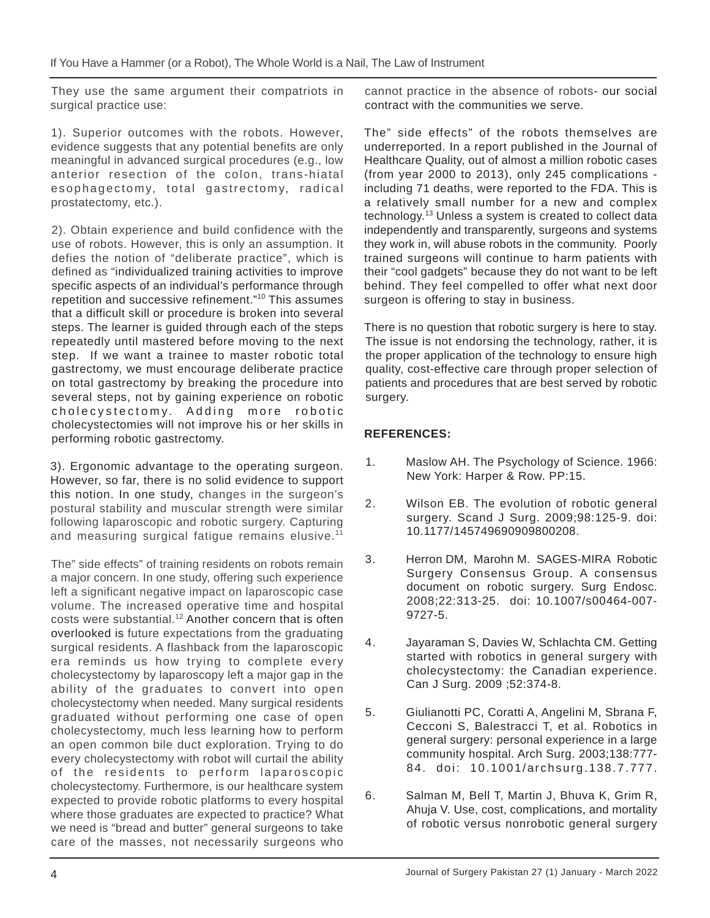They use the same argument their compatriots in surgical practice use:

1). Superior outcomes with the robots. However, evidence suggests that any potential benefits are only meaningful in advanced surgical procedures (e.g., low anterior resection of the colon, trans-hiatal esophagectomy, total gastrectomy, radical prostatectomy, etc.).

2). Obtain experience and build confidence with the use of robots. However, this is only an assumption. It defies the notion of "deliberate practice", which is defined as "individualized training activities to improve specific aspects of an individual's performance through repetition and successive refinement."<sup>10</sup> This assumes that a difficult skill or procedure is broken into several steps. The learner is guided through each of the steps repeatedly until mastered before moving to the next step. If we want a trainee to master robotic total gastrectomy, we must encourage deliberate practice on total gastrectomy by breaking the procedure into several steps, not by gaining experience on robotic cholecystectomy. Adding more robotic cholecystectomies will not improve his or her skills in performing robotic gastrectomy.

3). Ergonomic advantage to the operating surgeon. However, so far, there is no solid evidence to support this notion. In one study, changes in the surgeon's postural stability and muscular strength were similar following laparoscopic and robotic surgery. Capturing and measuring surgical fatigue remains elusive.<sup>11</sup>

The" side effects" of training residents on robots remain a major concern. In one study, offering such experience left a significant negative impact on laparoscopic case volume. The increased operative time and hospital costs were substantial.<sup>12</sup> Another concern that is often overlooked is future expectations from the graduating surgical residents. A flashback from the laparoscopic era reminds us how trying to complete every cholecystectomy by laparoscopy left a major gap in the ability of the graduates to convert into open cholecystectomy when needed. Many surgical residents graduated without performing one case of open cholecystectomy, much less learning how to perform an open common bile duct exploration. Trying to do every cholecystectomy with robot will curtail the ability of the residents to perform laparoscopic cholecystectomy. Furthermore, is our healthcare system expected to provide robotic platforms to every hospital where those graduates are expected to practice? What we need is "bread and butter" general surgeons to take care of the masses, not necessarily surgeons who

cannot practice in the absence of robots- our social contract with the communities we serve.

The" side effects" of the robots themselves are underreported. In a report published in the Journal of Healthcare Quality, out of almost a million robotic cases (from year 2000 to 2013), only 245 complications including 71 deaths, were reported to the FDA. This is a relatively small number for a new and complex technology.<sup>13</sup> Unless a system is created to collect data independently and transparently, surgeons and systems they work in, will abuse robots in the community. Poorly trained surgeons will continue to harm patients with their "cool gadgets" because they do not want to be left behind. They feel compelled to offer what next door surgeon is offering to stay in business.

There is no question that robotic surgery is here to stay. The issue is not endorsing the technology, rather, it is the proper application of the technology to ensure high quality, cost-effective care through proper selection of patients and procedures that are best served by robotic surgery.

## **REFERENCES:**

- 1. Maslow AH. The Psychology of Science. 1966: New York: Harper & Row. PP:15.
- 2. Wilson EB. The evolution of robotic general surgery. Scand J Surg. 2009;98:125-9. doi: 10.1177/145749690909800208.
- 3. Herron DM, Marohn M. SAGES-MIRA Robotic Surgery Consensus Group. A consensus document on robotic surgery. Surg Endosc. 2008;22:313-25. doi: 10.1007/s00464-007- 9727-5.
- 4. Jayaraman S, Davies W, Schlachta CM. Getting started with robotics in general surgery with cholecystectomy: the Canadian experience. Can J Surg. 2009 ;52:374-8.
- 5. Giulianotti PC, Coratti A, Angelini M, Sbrana F, Cecconi S, Balestracci T, et al. Robotics in general surgery: personal experience in a large community hospital. Arch Surg. 2003;138:777- 84. doi: 10.1001/archsurg.138.7.777.
- 6. Salman M, Bell T, Martin J, Bhuva K, Grim R, Ahuja V. Use, cost, complications, and mortality of robotic versus nonrobotic general surgery